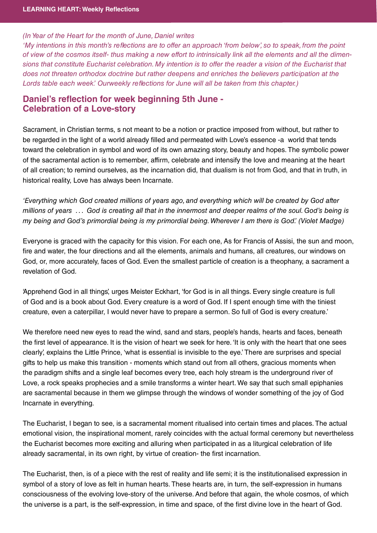## (In Year of the Heart for the month of June, Daniel writes

'My intentions in this month's reflections are to offer an approach 'from below', so to speak, from the point of view of the cosmos itself- thus making a new effort to intrinsically link all the elements and all the dimensions that constitute Eucharist celebration. My intention is to offer the reader a vision of the Eucharist that does not threaten orthodox doctrine but rather deepens and enriches the believers participation at the Lords table each week.' Ourweekly reflections for June will all be taken from this chapter.)

## **Daniel's reflection for week beginning 5th June - Celebration of a Love-story Celebration of a Love-story**

Sacrament, in Christian terms, s not meant to be a notion or practice imposed from without, but rather to be regarded in the light of a world already filled and permeated with Love's essence -a world that tends toward the celebration in symbol and word of its own amazing story, beauty and hopes. The symbolic power of the sacramental action is to remember, affirm, celebrate and intensify the love and meaning at the heart of all creation; to remind ourselves, as the incarnation did, that dualism is not from God, and that in truth, in historical reality, Love has always been Incarnate.

'Everything which God created millions of years ago, and everything which will be created by God after millions of years ... God is creating all that in the innermost and deeper realms of the soul. God's being is my being and God's primordial being is my primordial being. Wherever I am there is God.' (Violet Madge)

Everyone is graced with the capacity for this vision. For each one, As for Francis of Assisi, the sun and moon, fire and water, the four directions and all the elements, animals and humans, all creatures, our windows on God, or, more accurately, faces of God. Even the smallest particle of creation is a theophany, a sacrament a revelation of God.

'Apprehend God in all things', urges Meister Eckhart, 'for God is in all things. Every single creature is full of God and is a book about God. Every creature is a word of God. If I spent enough time with the tiniest creature, even a caterpillar, I would never have to prepare a sermon. So full of God is every creature.'

We therefore need new eyes to read the wind, sand and stars, people's hands, hearts and faces, beneath the first level of appearance. It is the vision of heart we seek for here. 'It is only with the heart that one sees clearly', explains the Little Prince, 'what is essential is invisible to the eye.' There are surprises and special gifts to help us make this transition - moments which stand out from all others, gracious moments when the paradigm shifts and a single leaf becomes every tree, each holy stream is the underground river of Love, a rock speaks prophecies and a smile transforms a winter heart. We say that such small epiphanies are sacramental because in them we glimpse through the windows of wonder something of the joy of God Incarnate in everything.

The Eucharist, I began to see, is a sacramental moment ritualised into certain times and places. The actual emotional vision, the inspirational moment, rarely coincides with the actual formal ceremony but nevertheless the Eucharist becomes more exciting and alluring when participated in as a liturgical celebration of life already sacramental, in its own right, by virtue of creation- the first incarnation.

The Eucharist, then, is of a piece with the rest of reality and life semi; it is the institutionalised expression in symbol of a story of love as felt in human hearts. These hearts are, in turn, the self-expression in humans consciousness of the evolving love-story of the universe. And before that again, the whole cosmos, of which the universe is a part, is the self-expression, in time and space, of the first divine love in the heart of God.